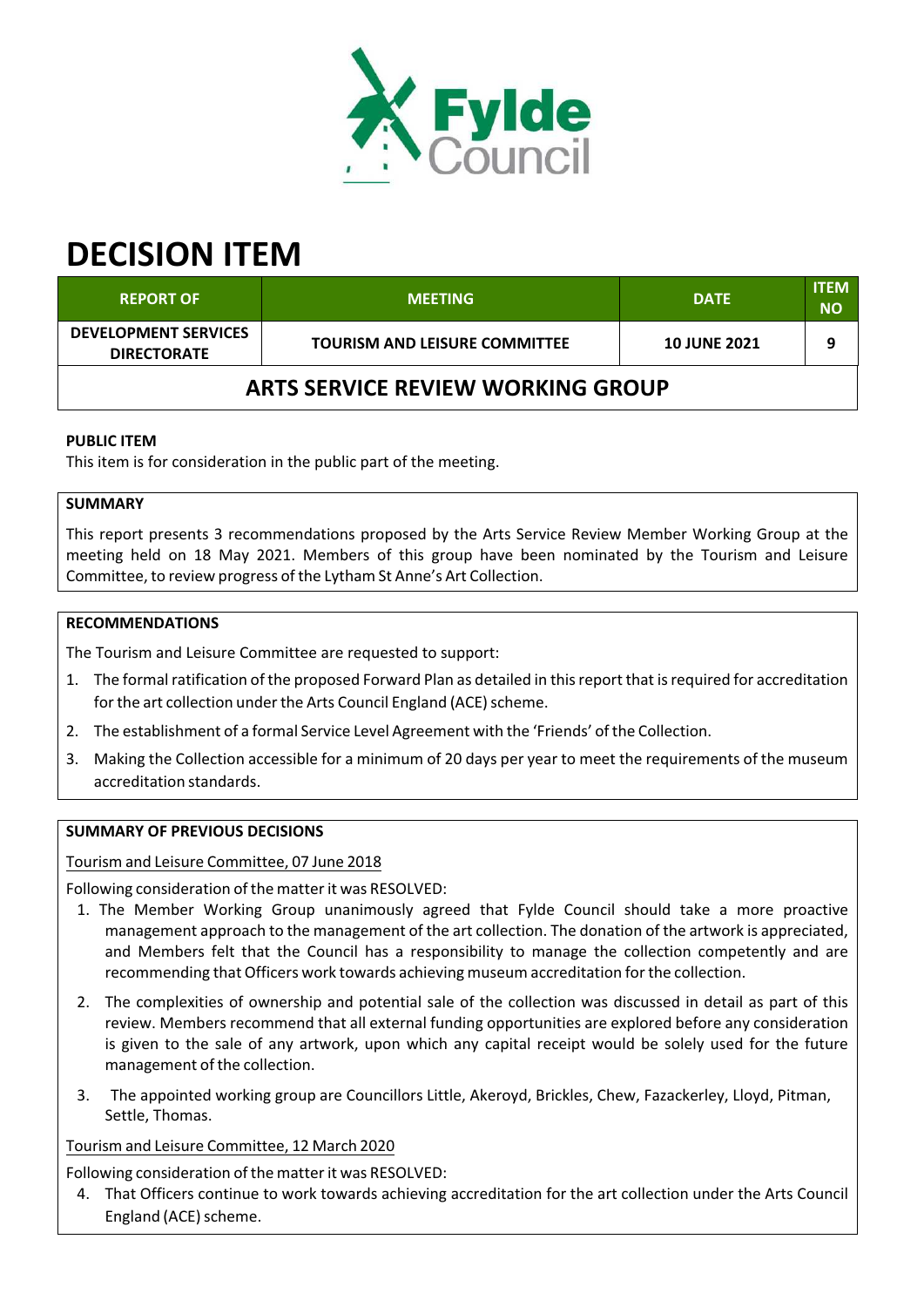

# **DECISION ITEM**

| <b>REPORT OF</b>                                  | <b>MEETING</b>                       | <b>DATE</b>         | <b>ITEM</b><br><b>NO</b> |  |  |  |
|---------------------------------------------------|--------------------------------------|---------------------|--------------------------|--|--|--|
| <b>DEVELOPMENT SERVICES</b><br><b>DIRECTORATE</b> | <b>TOURISM AND LEISURE COMMITTEE</b> | <b>10 JUNE 2021</b> |                          |  |  |  |
| <b>ARTS SERVICE REVIEW WORKING GROUP</b>          |                                      |                     |                          |  |  |  |

## **PUBLIC ITEM**

This item is for consideration in the public part of the meeting.

# **SUMMARY**

This report presents 3 recommendations proposed by the Arts Service Review Member Working Group at the meeting held on 18 May 2021. Members of this group have been nominated by the Tourism and Leisure Committee, to review progress of the Lytham St Anne's Art Collection.

## **RECOMMENDATIONS**

The Tourism and Leisure Committee are requested to support:

- 1. The formal ratification of the proposed Forward Plan as detailed in thisreport that isrequired for accreditation for the art collection under the Arts Council England (ACE) scheme.
- 2. The establishment of a formal Service Level Agreement with the 'Friends' of the Collection.
- 3. Making the Collection accessible for a minimum of 20 days per year to meet the requirements of the museum accreditation standards.

### **SUMMARY OF PREVIOUS DECISIONS**

Tourism and Leisure Committee, 07 June 2018

Following consideration of the matterit was RESOLVED:

- 1. The Member Working Group unanimously agreed that Fylde Council should take a more proactive management approach to the management of the art collection. The donation of the artwork is appreciated, and Members felt that the Council has a responsibility to manage the collection competently and are recommending that Officers work towards achieving museum accreditation forthe collection.
- 2. The complexities of ownership and potential sale of the collection was discussed in detail as part of this review. Members recommend that all external funding opportunities are explored before any consideration is given to the sale of any artwork, upon which any capital receipt would be solely used for the future management of the collection.
- 3. The appointed working group are Councillors Little, Akeroyd, Brickles, Chew, Fazackerley, Lloyd, Pitman, Settle, Thomas.

#### Tourism and Leisure Committee, 12 March 2020

Following consideration of the matterit was RESOLVED:

4. That Officers continue to work towards achieving accreditation for the art collection under the Arts Council England (ACE) scheme.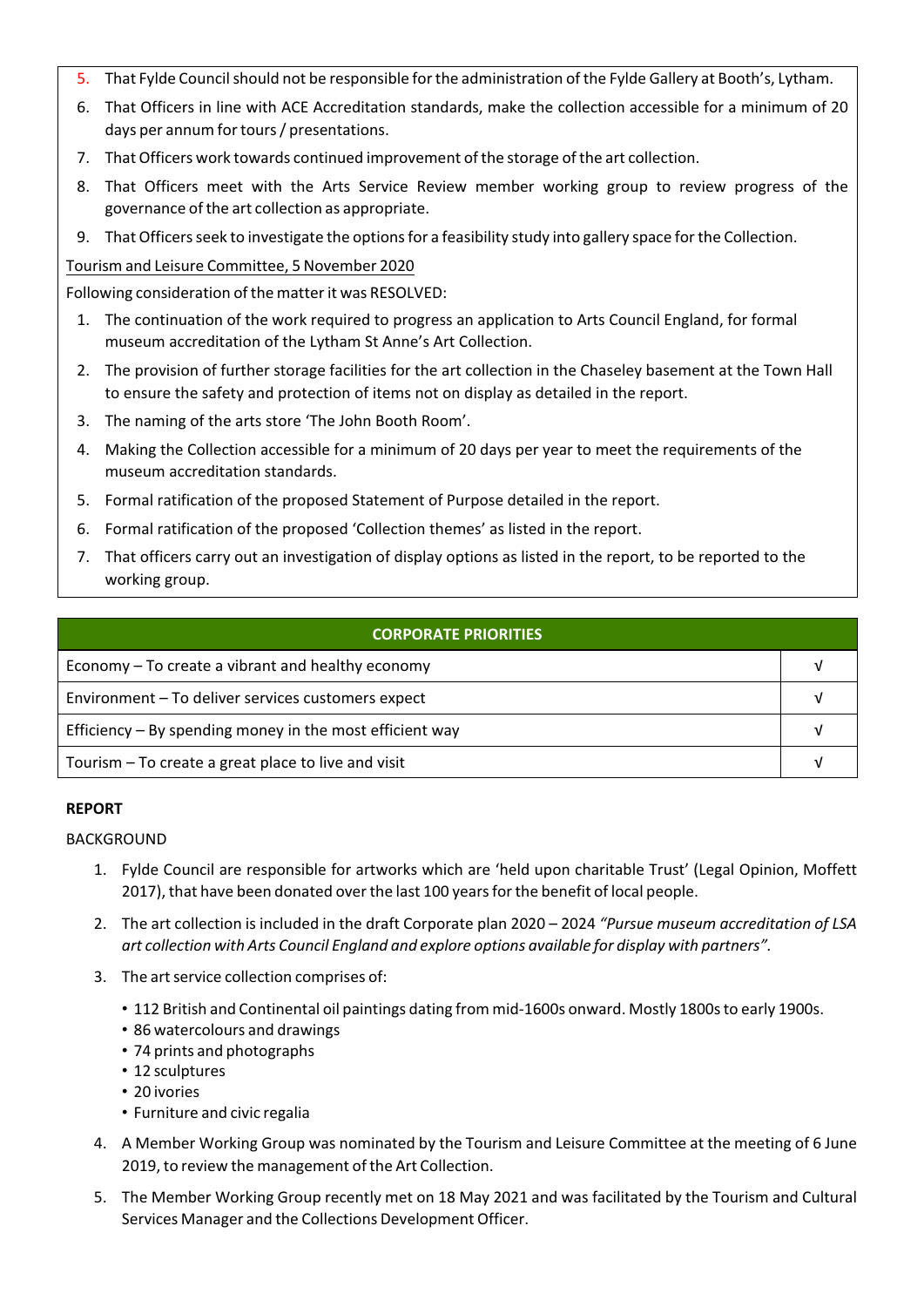- 5. That Fylde Council should not be responsible for the administration of the Fylde Gallery at Booth's, Lytham.
- 6. That Officers in line with ACE Accreditation standards, make the collection accessible for a minimum of 20 days per annum fortours/ presentations.
- 7. That Officers work towards continued improvement of the storage of the art collection.
- 8. That Officers meet with the Arts Service Review member working group to review progress of the governance of the art collection as appropriate.
- 9. That Officers seek to investigate the options for a feasibility study into gallery space for the Collection.

# Tourism and Leisure Committee, 5 November 2020

Following consideration of the matterit was RESOLVED:

- 1. The continuation of the work required to progress an application to Arts Council England, for formal museum accreditation of the Lytham St Anne's Art Collection.
- 2. The provision of further storage facilities for the art collection in the Chaseley basement at the Town Hall to ensure the safety and protection of items not on display as detailed in the report.
- 3. The naming of the arts store 'The John Booth Room'.
- 4. Making the Collection accessible for a minimum of 20 days per year to meet the requirements of the museum accreditation standards.
- 5. Formal ratification of the proposed Statement of Purpose detailed in the report.
- 6. Formal ratification of the proposed 'Collection themes' as listed in the report.
- 7. That officers carry out an investigation of display options as listed in the report, to be reported to the working group.

| <b>CORPORATE PRIORITIES</b>                                |  |  |
|------------------------------------------------------------|--|--|
| Economy – To create a vibrant and healthy economy          |  |  |
| Environment - To deliver services customers expect         |  |  |
| Efficiency $-$ By spending money in the most efficient way |  |  |
| Tourism – To create a great place to live and visit        |  |  |

## **REPORT**

## BACKGROUND

- 1. Fylde Council are responsible for artworks which are 'held upon charitable Trust' (Legal Opinion, Moffett 2017), that have been donated overthe last 100 yearsforthe benefit of local people.
- 2. The art collection is included in the draft Corporate plan 2020 2024 *"Pursue museum accreditation of LSA art collection with Arts Council England and explore options available for display with partners".*
- 3. The art service collection comprises of:
	- 112 British and Continental oil paintings dating from mid-1600s onward. Mostly 1800s to early 1900s.
	- 86 watercolours and drawings
	- 74 prints and photographs
	- 12 sculptures
	- 20 ivories
	- Furniture and civic regalia
- 4. A Member Working Group was nominated by the Tourism and Leisure Committee at the meeting of 6 June 2019, to review the management of the Art Collection.
- 5. The Member Working Group recently met on 18 May 2021 and was facilitated by the Tourism and Cultural Services Manager and the Collections Development Officer.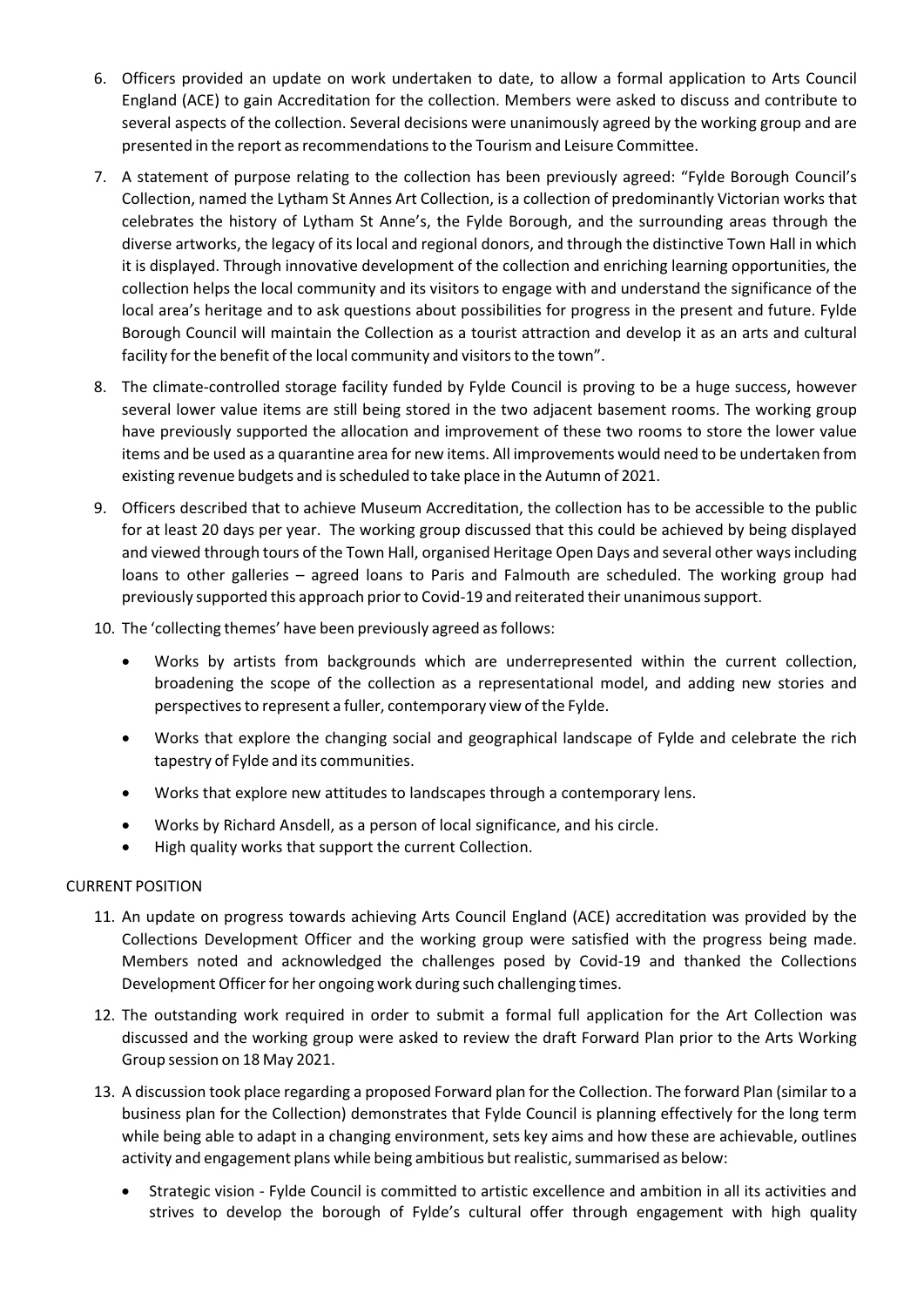- 6. Officers provided an update on work undertaken to date, to allow a formal application to Arts Council England (ACE) to gain Accreditation for the collection. Members were asked to discuss and contribute to several aspects of the collection. Several decisions were unanimously agreed by the working group and are presented in the report asrecommendationsto the Tourism and Leisure Committee.
- 7. A statement of purpose relating to the collection has been previously agreed: "Fylde Borough Council's Collection, named the Lytham St Annes Art Collection, is a collection of predominantly Victorian works that celebrates the history of Lytham St Anne's, the Fylde Borough, and the surrounding areas through the diverse artworks, the legacy of its local and regional donors, and through the distinctive Town Hall in which it is displayed. Through innovative development of the collection and enriching learning opportunities, the collection helps the local community and its visitors to engage with and understand the significance of the local area's heritage and to ask questions about possibilities for progress in the present and future. Fylde Borough Council will maintain the Collection as a tourist attraction and develop it as an arts and cultural facility for the benefit of the local community and visitors to the town".
- 8. The climate-controlled storage facility funded by Fylde Council is proving to be a huge success, however several lower value items are still being stored in the two adjacent basement rooms. The working group have previously supported the allocation and improvement of these two rooms to store the lower value items and be used as a quarantine area for new items. All improvements would need to be undertaken from existing revenue budgets and isscheduled to take place in the Autumn of 2021.
- 9. Officers described that to achieve Museum Accreditation, the collection has to be accessible to the public for at least 20 days per year. The working group discussed that this could be achieved by being displayed and viewed through tours of the Town Hall, organised Heritage Open Days and several other waysincluding loans to other galleries – agreed loans to Paris and Falmouth are scheduled. The working group had previously supported this approach prior to Covid-19 and reiterated their unanimous support.
- 10. The 'collecting themes' have been previously agreed as follows:
	- Works by artists from backgrounds which are underrepresented within the current collection, broadening the scope of the collection as a representational model, and adding new stories and perspectivesto represent a fuller, contemporary view of the Fylde.
	- Works that explore the changing social and geographical landscape of Fylde and celebrate the rich tapestry of Fylde and its communities.
	- Works that explore new attitudes to landscapes through a contemporary lens.
	- Works by Richard Ansdell, as a person of local significance, and his circle.
	- High quality works that support the current Collection.

#### CURRENT POSITION

- 11. An update on progress towards achieving Arts Council England (ACE) accreditation was provided by the Collections Development Officer and the working group were satisfied with the progress being made. Members noted and acknowledged the challenges posed by Covid‐19 and thanked the Collections Development Officer for her ongoing work during such challenging times.
- 12. The outstanding work required in order to submit a formal full application for the Art Collection was discussed and the working group were asked to review the draft Forward Plan prior to the Arts Working Group session on 18 May 2021.
- 13. A discussion took place regarding a proposed Forward plan for the Collection. The forward Plan (similar to a business plan for the Collection) demonstrates that Fylde Council is planning effectively for the long term while being able to adapt in a changing environment, sets key aims and how these are achievable, outlines activity and engagement plans while being ambitious but realistic, summarised as below:
	- Strategic vision ‐ Fylde Council is committed to artistic excellence and ambition in all its activities and strives to develop the borough of Fylde's cultural offer through engagement with high quality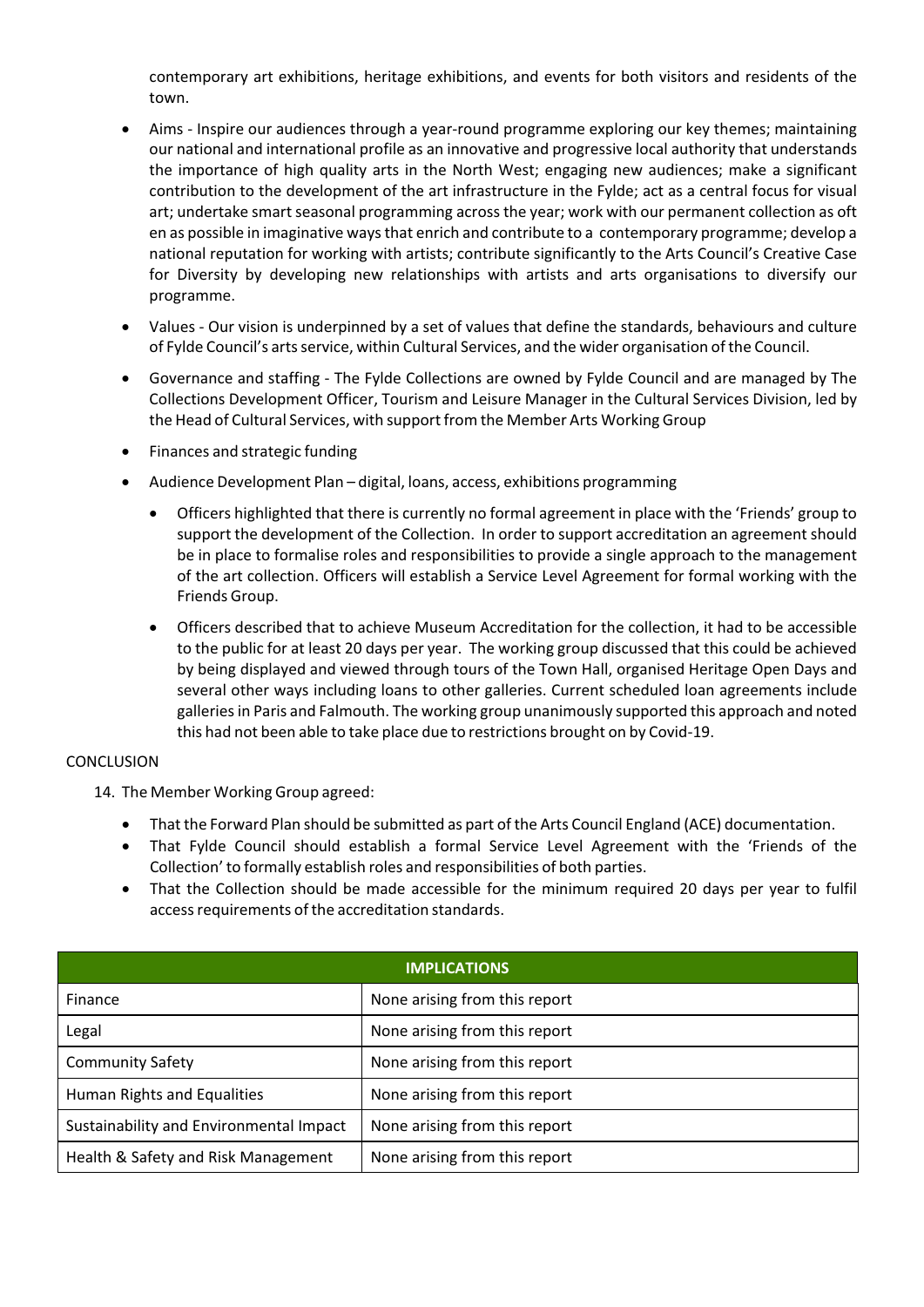contemporary art exhibitions, heritage exhibitions, and events for both visitors and residents of the town.

- Aims Inspire our audiences through a year-round programme exploring our key themes; maintaining our national and international profile as an innovative and progressive local authority that understands the importance of high quality arts in the North West; engaging new audiences; make a significant contribution to the development of the art infrastructure in the Fylde; act as a central focus for visual art; undertake smart seasonal programming across the year; work with our permanent collection as oft en as possible in imaginative waysthat enrich and contribute to a contemporary programme; develop a national reputation for working with artists; contribute significantly to the Arts Council's Creative Case for Diversity by developing new relationships with artists and arts organisations to diversify our programme.
- Values ‐ Our vision is underpinned by a set of values that define the standards, behaviours and culture of Fylde Council's arts service, within Cultural Services, and the wider organisation of the Council.
- Governance and staffing ‐ The Fylde Collections are owned by Fylde Council and are managed by The Collections Development Officer, Tourism and Leisure Manager in the Cultural Services Division, led by the Head of Cultural Services, with support from the Member Arts Working Group
- Finances and strategic funding
- Audience Development Plan digital, loans, access, exhibitions programming
	- Officers highlighted that there is currently no formal agreement in place with the 'Friends' group to support the development of the Collection. In order to support accreditation an agreement should be in place to formalise roles and responsibilities to provide a single approach to the management of the art collection. Officers will establish a Service Level Agreement for formal working with the Friends Group.
	- Officers described that to achieve Museum Accreditation for the collection, it had to be accessible to the public for at least 20 days per year. The working group discussed that this could be achieved by being displayed and viewed through tours of the Town Hall, organised Heritage Open Days and several other ways including loans to other galleries. Current scheduled loan agreements include galleries in Paris and Falmouth. The working group unanimously supported this approach and noted this had not been able to take place due to restrictions brought on by Covid‐19.

#### CONCLUSION

14. The Member Working Group agreed:

- That the Forward Plan should be submitted as part of the Arts Council England (ACE) documentation.
- That Fylde Council should establish a formal Service Level Agreement with the 'Friends of the Collection' to formally establish roles and responsibilities of both parties.
- That the Collection should be made accessible for the minimum required 20 days per year to fulfil access requirements of the accreditation standards.

| <b>IMPLICATIONS</b>                     |                               |  |  |  |
|-----------------------------------------|-------------------------------|--|--|--|
| Finance                                 | None arising from this report |  |  |  |
| Legal                                   | None arising from this report |  |  |  |
| <b>Community Safety</b>                 | None arising from this report |  |  |  |
| Human Rights and Equalities             | None arising from this report |  |  |  |
| Sustainability and Environmental Impact | None arising from this report |  |  |  |
| Health & Safety and Risk Management     | None arising from this report |  |  |  |